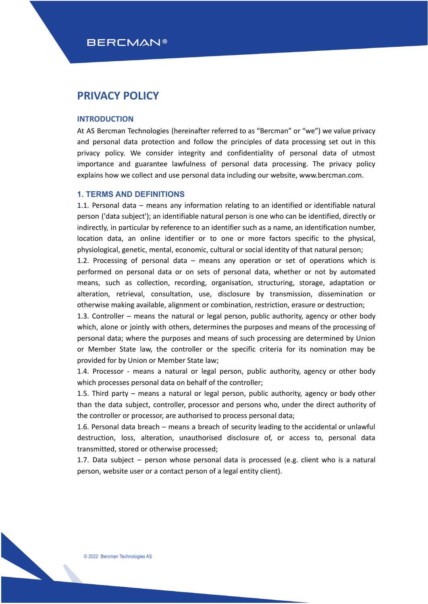## **BERCMAN®**

## **PRIVACY POLICY**

#### **INTRODUCTION**

At AS Bercman Technologies (hereinafter referred to as "Bercman" or "we") we value privacy and personal data protection and follow the principles of data processing set out in this privacy policy. We consider integrity and confidentiality of personal data of utmost importance and guarantee lawfulness of personal data processing. The privacy policy explains how we collect and use personal data including our website, www.bercman.com.

### **1. TERMS AND DEFINITIONS**

1.1. Personal data – means any information relating to an identified or identifiable natural person ('data subject'); an identifiable natural person is one who can be identified, directly or indirectly, in particular by reference to an identifier such as a name, an identification number, location data, an online identifier or to one or more factors specific to the physical, physiological, genetic, mental, economic, cultural or social identity of that natural person;

1.2. Processing of personal data – means any operation or set of operations which is performed on personal data or on sets of personal data, whether or not by automated means, such as collection, recording, organisation, structuring, storage, adaptation or alteration, retrieval, consultation, use, disclosure by transmission, dissemination or otherwise making available, alignment or combination, restriction, erasure or destruction;

1.3. Controller – means the natural or legal person, public authority, agency or other body which, alone or jointly with others, determines the purposes and means of the processing of personal data; where the purposes and means of such processing are determined by Union or Member State law, the controller or the specific criteria for its nomination may be provided for by Union or Member State law;

1.4. Processor - means a natural or legal person, public authority, agency or other body which processes personal data on behalf of the controller;

1.5. Third party – means a natural or legal person, public authority, agency or body other than the data subject, controller, processor and persons who, under the direct authority of the controller or processor, are authorised to process personal data;

1.6. Personal data breach – means a breach of security leading to the accidental or unlawful destruction, loss, alteration, unauthorised disclosure of, or access to, personal data transmitted, stored or otherwise processed;

1.7. Data subject – person whose personal data is processed (e.g. client who is a natural person, website user or a contact person of a legal entity client).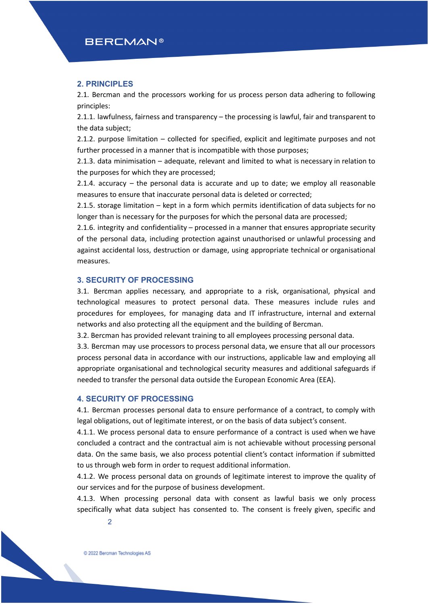### **2. PRINCIPLES**

2.1. Bercman and the processors working for us process person data adhering to following principles:

2.1.1. lawfulness, fairness and transparency – the processing is lawful, fair and transparent to the data subject;

2.1.2. purpose limitation – collected for specified, explicit and legitimate purposes and not further processed in a manner that is incompatible with those purposes;

2.1.3. data minimisation – adequate, relevant and limited to what is necessary in relation to the purposes for which they are processed;

2.1.4. accuracy – the personal data is accurate and up to date; we employ all reasonable measures to ensure that inaccurate personal data is deleted or corrected;

2.1.5. storage limitation – kept in a form which permits identification of data subjects for no longer than is necessary for the purposes for which the personal data are processed;

2.1.6. integrity and confidentiality – processed in a manner that ensures appropriate security of the personal data, including protection against unauthorised or unlawful processing and against accidental loss, destruction or damage, using appropriate technical or organisational measures.

## **3. SECURITY OF PROCESSING**

3.1. Bercman applies necessary, and appropriate to a risk, organisational, physical and technological measures to protect personal data. These measures include rules and procedures for employees, for managing data and IT infrastructure, internal and external networks and also protecting all the equipment and the building of Bercman.

3.2. Bercman has provided relevant training to all employees processing personal data.

3.3. Bercman may use processors to process personal data, we ensure that all our processors process personal data in accordance with our instructions, applicable law and employing all appropriate organisational and technological security measures and additional safeguards if needed to transfer the personal data outside the European Economic Area (EEA).

## **4. SECURITY OF PROCESSING**

4.1. Bercman processes personal data to ensure performance of a contract, to comply with legal obligations, out of legitimate interest, or on the basis of data subject's consent.

4.1.1. We process personal data to ensure performance of a contract is used when we have concluded a contract and the contractual aim is not achievable without processing personal data. On the same basis, we also process potential client's contact information if submitted to us through web form in order to request additional information.

4.1.2. We process personal data on grounds of legitimate interest to improve the quality of our services and for the purpose of business development.

4.1.3. When processing personal data with consent as lawful basis we only process specifically what data subject has consented to. The consent is freely given, specific and

2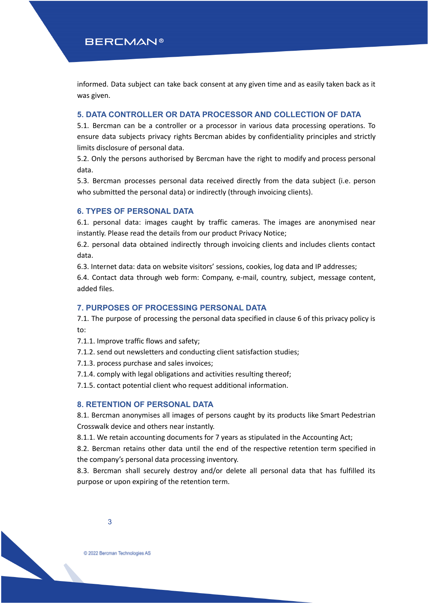informed. Data subject can take back consent at any given time and as easily taken back as it was given.

## **5. DATA CONTROLLER OR DATA PROCESSOR AND COLLECTION OF DATA**

5.1. Bercman can be a controller or a processor in various data processing operations. To ensure data subjects privacy rights Bercman abides by confidentiality principles and strictly limits disclosure of personal data.

5.2. Only the persons authorised by Bercman have the right to modify and process personal data.

5.3. Bercman processes personal data received directly from the data subject (i.e. person who submitted the personal data) or indirectly (through invoicing clients).

### **6. TYPES OF PERSONAL DATA**

6.1. personal data: images caught by traffic cameras. The images are anonymised near instantly. Please read the details from our product Privacy Notice;

6.2. personal data obtained indirectly through invoicing clients and includes clients contact data.

6.3. Internet data: data on website visitors' sessions, cookies, log data and IP addresses;

6.4. Contact data through web form: Company, e-mail, country, subject, message content, added files.

#### **7. PURPOSES OF PROCESSING PERSONAL DATA**

7.1. The purpose of processing the personal data specified in clause 6 of this privacy policy is to:

7.1.1. Improve traffic flows and safety;

7.1.2. send out newsletters and conducting client satisfaction studies;

7.1.3. process purchase and sales invoices;

7.1.4. comply with legal obligations and activities resulting thereof;

7.1.5. contact potential client who request additional information.

## **8. RETENTION OF PERSONAL DATA**

8.1. Bercman anonymises all images of persons caught by its products like Smart Pedestrian Crosswalk device and others near instantly.

8.1.1. We retain accounting documents for 7 years as stipulated in the Accounting Act;

8.2. Bercman retains other data until the end of the respective retention term specified in the company's personal data processing inventory.

8.3. Bercman shall securely destroy and/or delete all personal data that has fulfilled its purpose or upon expiring of the retention term.

3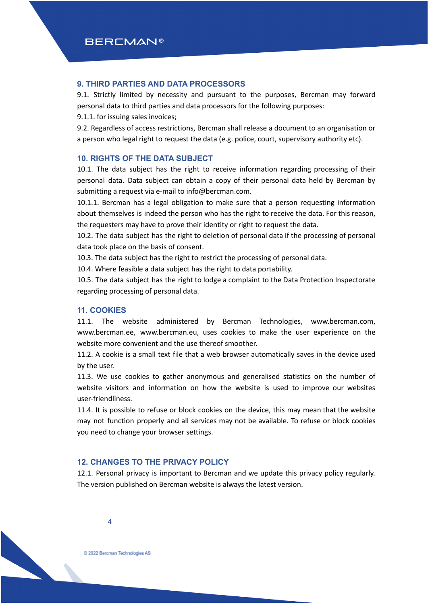## **9. THIRD PARTIES AND DATA PROCESSORS**

9.1. Strictly limited by necessity and pursuant to the purposes, Bercman may forward personal data to third parties and data processors for the following purposes:

9.1.1. for issuing sales invoices;

9.2. Regardless of access restrictions, Bercman shall release a document to an organisation or a person who legal right to request the data (e.g. police, court, supervisory authority etc).

## **10. RIGHTS OF THE DATA SUBJECT**

10.1. The data subject has the right to receive information regarding processing of their personal data. Data subject can obtain a copy of their personal data held by Bercman by submitting a request via e-mail to info@bercman.com.

10.1.1. Bercman has a legal obligation to make sure that a person requesting information about themselves is indeed the person who has the right to receive the data. For this reason, the requesters may have to prove their identity or right to request the data.

10.2. The data subject has the right to deletion of personal data if the processing of personal data took place on the basis of consent.

10.3. The data subject has the right to restrict the processing of personal data.

10.4. Where feasible a data subject has the right to data portability.

10.5. The data subject has the right to lodge a complaint to the Data Protection Inspectorate regarding processing of personal data.

## **11. COOKIES**

11.1. The website administered by Bercman Technologies, www.bercman.com, www.bercman.ee, www.bercman.eu, uses cookies to make the user experience on the website more convenient and the use thereof smoother.

11.2. A cookie is a small text file that a web browser automatically saves in the device used by the user.

11.3. We use cookies to gather anonymous and generalised statistics on the number of website visitors and information on how the website is used to improve our websites user-friendliness.

11.4. It is possible to refuse or block cookies on the device, this may mean that the website may not function properly and all services may not be available. To refuse or block cookies you need to change your browser settings.

## **12. CHANGES TO THE PRIVACY POLICY**

12.1. Personal privacy is important to Bercman and we update this privacy policy regularly. The version published on Bercman website is always the latest version.

4

C 2022 Bercman Technologies AS